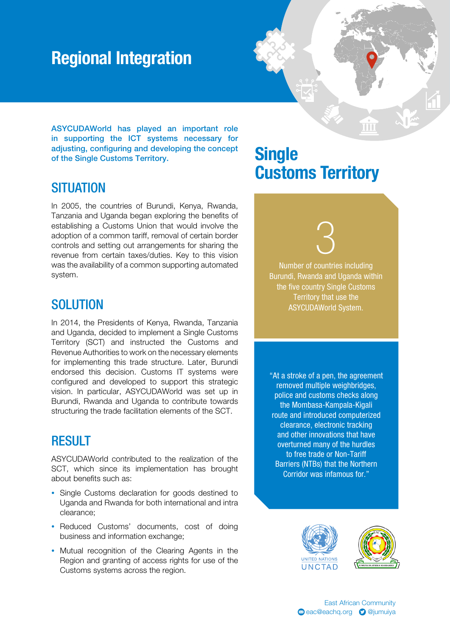## Regional Integration

ASYCUDAWorld has played an important role in supporting the ICT systems necessary for adjusting, configuring and developing the concept of the Single Customs Territory.

#### **SITUATION**

In 2005, the countries of Burundi, Kenya, Rwanda, Tanzania and Uganda began exploring the benefits of establishing a Customs Union that would involve the adoption of a common tariff, removal of certain border controls and setting out arrangements for sharing the revenue from certain taxes/duties. Key to this vision was the availability of a common supporting automated system.

#### **SOLUTION**

In 2014, the Presidents of Kenya, Rwanda, Tanzania and Uganda, decided to implement a Single Customs Territory (SCT) and instructed the Customs and Revenue Authorities to work on the necessary elements for implementing this trade structure. Later, Burundi endorsed this decision. Customs IT systems were configured and developed to support this strategic vision. In particular, ASYCUDAWorld was set up in Burundi, Rwanda and Uganda to contribute towards structuring the trade facilitation elements of the SCT.

#### RESULT

ASYCUDAWorld contributed to the realization of the SCT, which since its implementation has brought about benefits such as:

- Single Customs declaration for goods destined to Uganda and Rwanda for both international and intra clearance;
- Reduced Customs' documents, cost of doing business and information exchange;
- Mutual recognition of the Clearing Agents in the Region and granting of access rights for use of the Customs systems across the region.

### **Single** Customs Territory

π'n

# 3

Number of countries including Burundi, Rwanda and Uganda within the five country Single Customs Territory that use the ASYCUDAWorld System.

"At a stroke of a pen, the agreement removed multiple weighbridges, police and customs checks along the Mombasa-Kampala-Kigali route and introduced computerized clearance, electronic tracking and other innovations that have overturned many of the hurdles to free trade or Non-Tariff Barriers (NTBs) that the Northern Corridor was infamous for."